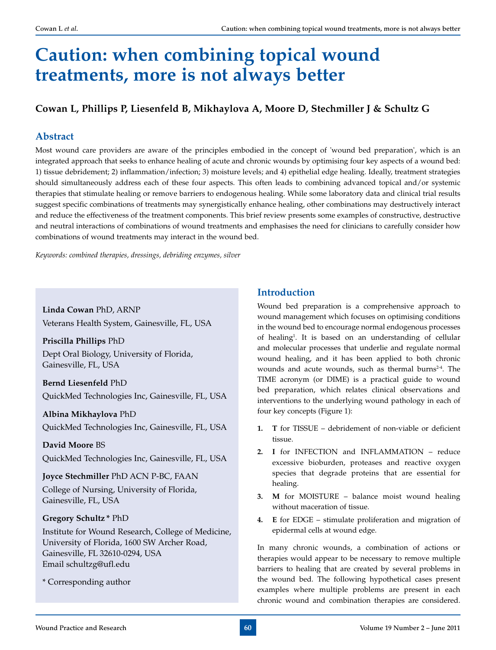# **Caution: when combining topical wound treatments, more is not always better**

# **Cowan L, Phillips P, Liesenfeld B, Mikhaylova A, Moore D, Stechmiller J & Schultz G**

## **Abstract**

Most wound care providers are aware of the principles embodied in the concept of 'wound bed preparation', which is an integrated approach that seeks to enhance healing of acute and chronic wounds by optimising four key aspects of a wound bed: 1) tissue debridement; 2) inflammation/infection; 3) moisture levels; and 4) epithelial edge healing. Ideally, treatment strategies should simultaneously address each of these four aspects. This often leads to combining advanced topical and/or systemic therapies that stimulate healing or remove barriers to endogenous healing. While some laboratory data and clinical trial results suggest specific combinations of treatments may synergistically enhance healing, other combinations may destructively interact and reduce the effectiveness of the treatment components. This brief review presents some examples of constructive, destructive and neutral interactions of combinations of wound treatments and emphasises the need for clinicians to carefully consider how combinations of wound treatments may interact in the wound bed.

*Keywords: combined therapies, dressings, debriding enzymes, silver*

**Linda Cowan** PhD, ARNP Veterans Health System, Gainesville, FL, USA

**Priscilla Phillips** PhD Dept Oral Biology, University of Florida, Gainesville, FL, USA

**Bernd Liesenfeld** PhD QuickMed Technologies Inc, Gainesville, FL, USA

**Albina Mikhaylova** PhD QuickMed Technologies Inc, Gainesville, FL, USA

**David Moore** BS QuickMed Technologies Inc, Gainesville, FL, USA

**Joyce Stechmiller** PhD ACN P-BC, FAAN College of Nursing, University of Florida, Gainesville, FL, USA

## **Gregory Schultz \*** PhD

Institute for Wound Research, College of Medicine, University of Florida, 1600 SW Archer Road, Gainesville, FL 32610-0294, USA Email schultzg@ufl.edu

\* Corresponding author

## **Introduction**

Wound bed preparation is a comprehensive approach to wound management which focuses on optimising conditions in the wound bed to encourage normal endogenous processes of healing1 . It is based on an understanding of cellular and molecular processes that underlie and regulate normal wound healing, and it has been applied to both chronic wounds and acute wounds, such as thermal burns<sup>2-4</sup>. The TIME acronym (or DIME) is a practical guide to wound bed preparation, which relates clinical observations and interventions to the underlying wound pathology in each of four key concepts (Figure 1):

- **1. T** for TISSUE debridement of non-viable or deficient tissue.
- **2. I** for INFECTION and INFLAMMATION reduce excessive bioburden, proteases and reactive oxygen species that degrade proteins that are essential for healing.
- **3. M** for MOISTURE balance moist wound healing without maceration of tissue.
- **4. E** for EDGE stimulate proliferation and migration of epidermal cells at wound edge.

In many chronic wounds, a combination of actions or therapies would appear to be necessary to remove multiple barriers to healing that are created by several problems in the wound bed. The following hypothetical cases present examples where multiple problems are present in each chronic wound and combination therapies are considered.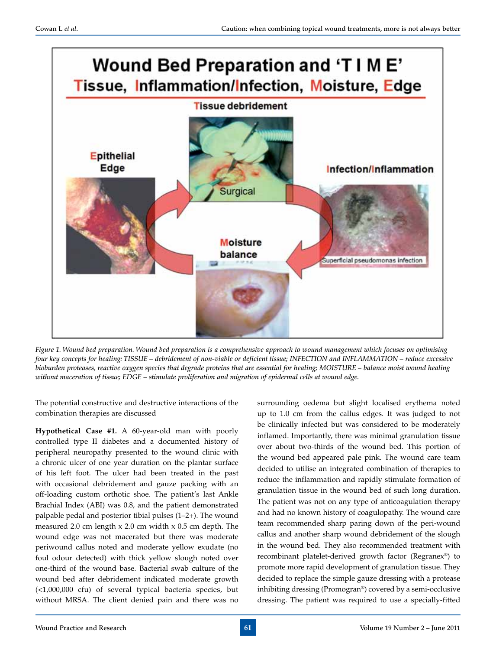

*Figure 1. Wound bed preparation. Wound bed preparation is a comprehensive approach to wound management which focuses on optimising four key concepts for healing: TISSUE – debridement of non-viable or deficient tissue; INFECTION and INFLAMMATION – reduce excessive bioburden proteases, reactive oxygen species that degrade proteins that are essential for healing; MOISTURE – balance moist wound healing without maceration of tissue; EDGE – stimulate proliferation and migration of epidermal cells at wound edge.*

The potential constructive and destructive interactions of the combination therapies are discussed

**Hypothetical Case #1.** A 60-year-old man with poorly controlled type II diabetes and a documented history of peripheral neuropathy presented to the wound clinic with a chronic ulcer of one year duration on the plantar surface of his left foot. The ulcer had been treated in the past with occasional debridement and gauze packing with an off-loading custom orthotic shoe. The patient's last Ankle Brachial Index (ABI) was 0.8, and the patient demonstrated palpable pedal and posterior tibial pulses (1–2+). The wound measured 2.0 cm length x 2.0 cm width x 0.5 cm depth. The wound edge was not macerated but there was moderate periwound callus noted and moderate yellow exudate (no foul odour detected) with thick yellow slough noted over one-third of the wound base. Bacterial swab culture of the wound bed after debridement indicated moderate growth (<1,000,000 cfu) of several typical bacteria species, but without MRSA. The client denied pain and there was no

surrounding oedema but slight localised erythema noted up to 1.0 cm from the callus edges. It was judged to not be clinically infected but was considered to be moderately inflamed. Importantly, there was minimal granulation tissue over about two-thirds of the wound bed. This portion of the wound bed appeared pale pink. The wound care team decided to utilise an integrated combination of therapies to reduce the inflammation and rapidly stimulate formation of granulation tissue in the wound bed of such long duration. The patient was not on any type of anticoagulation therapy and had no known history of coagulopathy. The wound care team recommended sharp paring down of the peri-wound callus and another sharp wound debridement of the slough in the wound bed. They also recommended treatment with recombinant platelet-derived growth factor (Regranex®) to promote more rapid development of granulation tissue. They decided to replace the simple gauze dressing with a protease inhibiting dressing (Promogran®) covered by a semi-occlusive dressing. The patient was required to use a specially-fitted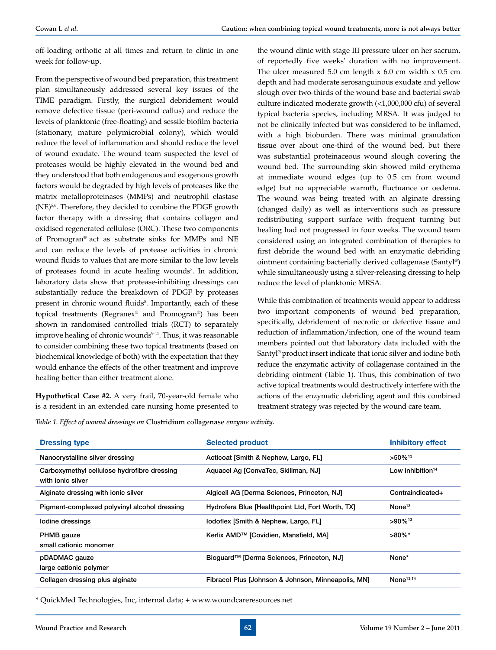off-loading orthotic at all times and return to clinic in one week for follow-up.

From the perspective of wound bed preparation, this treatment plan simultaneously addressed several key issues of the TIME paradigm. Firstly, the surgical debridement would remove defective tissue (peri-wound callus) and reduce the levels of planktonic (free-floating) and sessile biofilm bacteria (stationary, mature polymicrobial colony), which would reduce the level of inflammation and should reduce the level of wound exudate. The wound team suspected the level of proteases would be highly elevated in the wound bed and they understood that both endogenous and exogenous growth factors would be degraded by high levels of proteases like the matrix metalloproteinases (MMPs) and neutrophil elastase (NE)<sup>5,6</sup>. Therefore, they decided to combine the PDGF growth factor therapy with a dressing that contains collagen and oxidised regenerated cellulose (ORC). These two components of Promogran® act as substrate sinks for MMPs and NE and can reduce the levels of protease activities in chronic wound fluids to values that are more similar to the low levels of proteases found in acute healing wounds<sup>7</sup>. In addition, laboratory data show that protease-inhibiting dressings can substantially reduce the breakdown of PDGF by proteases present in chronic wound fluids<sup>8</sup>. Importantly, each of these topical treatments (Regranex® and Promogran®) has been shown in randomised controlled trials (RCT) to separately improve healing of chronic wounds<sup>9-11</sup>. Thus, it was reasonable to consider combining these two topical treatments (based on biochemical knowledge of both) with the expectation that they would enhance the effects of the other treatment and improve healing better than either treatment alone.

**Hypothetical Case #2.** A very frail, 70-year-old female who is a resident in an extended care nursing home presented to

the wound clinic with stage III pressure ulcer on her sacrum, of reportedly five weeks' duration with no improvement. The ulcer measured  $5.0$  cm length  $x$  6.0 cm width  $x$  0.5 cm depth and had moderate serosanguinous exudate and yellow slough over two-thirds of the wound base and bacterial swab culture indicated moderate growth (<1,000,000 cfu) of several typical bacteria species, including MRSA. It was judged to not be clinically infected but was considered to be inflamed, with a high bioburden. There was minimal granulation tissue over about one-third of the wound bed, but there was substantial proteinaceous wound slough covering the wound bed. The surrounding skin showed mild erythema at immediate wound edges (up to 0.5 cm from wound edge) but no appreciable warmth, fluctuance or oedema. The wound was being treated with an alginate dressing (changed daily) as well as interventions such as pressure redistributing support surface with frequent turning but healing had not progressed in four weeks. The wound team considered using an integrated combination of therapies to first debride the wound bed with an enzymatic debriding ointment containing bacterially derived collagenase (Santyl®) while simultaneously using a silver-releasing dressing to help reduce the level of planktonic MRSA.

While this combination of treatments would appear to address two important components of wound bed preparation, specifically, debridement of necrotic or defective tissue and reduction of inflammation/infection, one of the wound team members pointed out that laboratory data included with the Santyl® product insert indicate that ionic silver and iodine both reduce the enzymatic activity of collagenase contained in the debriding ointment (Table 1). Thus, this combination of two active topical treatments would destructively interfere with the actions of the enzymatic debriding agent and this combined treatment strategy was rejected by the wound care team.

*Table 1. Effect of wound dressings on* Clostridium collagenase *enzyme activity.*

| <b>Dressing type</b>                                             | <b>Selected product</b>                               | Inhibitory effect     |
|------------------------------------------------------------------|-------------------------------------------------------|-----------------------|
| Nanocrystalline silver dressing                                  | Acticoat [Smith & Nephew, Largo, FL]                  | $>50\%$ <sup>13</sup> |
| Carboxymethyl cellulose hydrofibre dressing<br>with ionic silver | Aquacel Ag [ConvaTec, Skillman, NJ]                   | Low inhibition $14$   |
| Alginate dressing with ionic silver                              | Algicell AG [Derma Sciences, Princeton, NJ]           | Contraindicated+      |
| Pigment-complexed polyvinyl alcohol dressing                     | Hydrofera Blue [Healthpoint Ltd, Fort Worth, TX]      | None <sup>13</sup>    |
| Iodine dressings                                                 | lodoflex [Smith & Nephew, Largo, FL]                  | $>90\%$ <sup>13</sup> |
| PHMB gauze<br>small cationic monomer                             | Kerlix AMD <sup>™</sup> [Covidien, Mansfield, MA]     | $>80\%$ *             |
| pDADMAC gauze<br>large cationic polymer                          | Bioquard <sup>™</sup> [Derma Sciences, Princeton, NJ] | None*                 |
| Collagen dressing plus alginate                                  | Fibracol Plus [Johnson & Johnson, Minneapolis, MN]    | None <sup>13,14</sup> |

\* QuickMed Technologies, Inc, internal data; + www.woundcareresources.net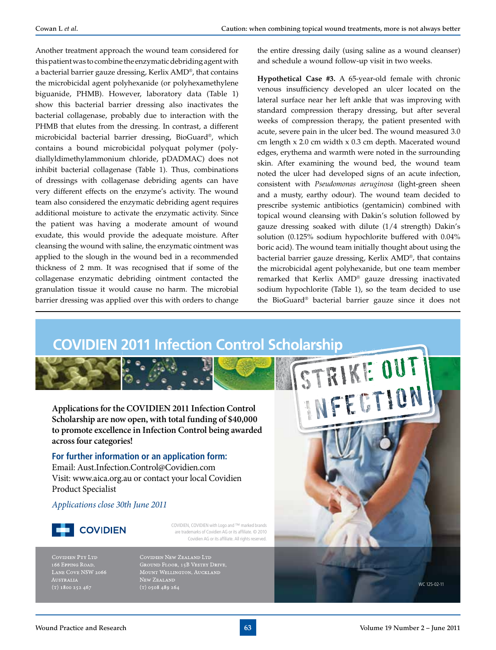Another treatment approach the wound team considered for this patient was to combine the enzymatic debriding agent with a bacterial barrier gauze dressing, Kerlix AMD®, that contains the microbicidal agent polyhexanide (or polyhexamethylene biguanide, PHMB). However, laboratory data (Table 1) show this bacterial barrier dressing also inactivates the bacterial collagenase, probably due to interaction with the PHMB that elutes from the dressing. In contrast, a different microbicidal bacterial barrier dressing, BioGuard®, which contains a bound microbicidal polyquat polymer (polydiallyldimethylammonium chloride, pDADMAC) does not inhibit bacterial collagenase (Table 1). Thus, combinations of dressings with collagenase debriding agents can have very different effects on the enzyme's activity. The wound team also considered the enzymatic debriding agent requires additional moisture to activate the enzymatic activity. Since the patient was having a moderate amount of wound exudate, this would provide the adequate moisture. After cleansing the wound with saline, the enzymatic ointment was applied to the slough in the wound bed in a recommended thickness of 2 mm. It was recognised that if some of the collagenase enzymatic debriding ointment contacted the granulation tissue it would cause no harm. The microbial barrier dressing was applied over this with orders to change the entire dressing daily (using saline as a wound cleanser) and schedule a wound follow-up visit in two weeks.

**Hypothetical Case #3.** A 65-year-old female with chronic venous insufficiency developed an ulcer located on the lateral surface near her left ankle that was improving with standard compression therapy dressing, but after several weeks of compression therapy, the patient presented with acute, severe pain in the ulcer bed. The wound measured 3.0 cm length x 2.0 cm width x 0.3 cm depth. Macerated wound edges, erythema and warmth were noted in the surrounding skin. After examining the wound bed, the wound team noted the ulcer had developed signs of an acute infection, consistent with *Pseudomonas aeruginosa* (light-green sheen and a musty, earthy odour). The wound team decided to prescribe systemic antibiotics (gentamicin) combined with topical wound cleansing with Dakin's solution followed by gauze dressing soaked with dilute (1/4 strength) Dakin's solution (0.125% sodium hypochlorite buffered with 0.04% boric acid). The wound team initially thought about using the bacterial barrier gauze dressing, Kerlix AMD®, that contains the microbicidal agent polyhexanide, but one team member remarked that Kerlix AMD® gauze dressing inactivated sodium hypochlorite (Table 1), so the team decided to use the BioGuard® bacterial barrier gauze since it does not